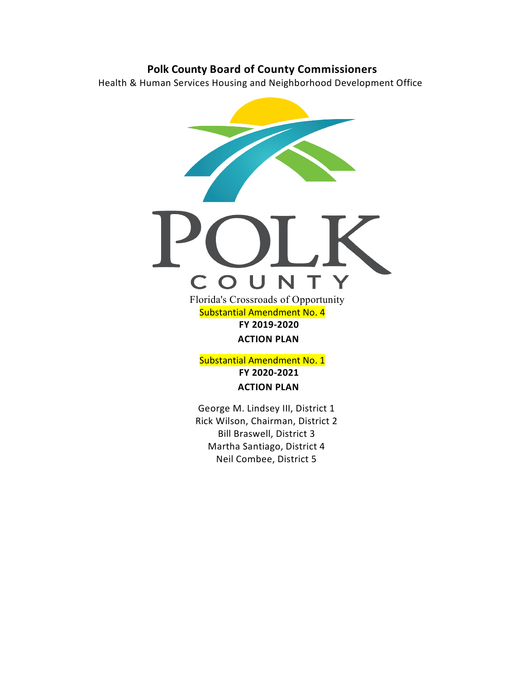# **Polk County Board of County Commissioners**

Health & Human Services Housing and Neighborhood Development Office



## Substantial Amendment No. 4 **FY 2019-2020 ACTION PLAN**

Substantial Amendment No. 1 **FY 2020-2021 ACTION PLAN**

George M. Lindsey III, District 1 Rick Wilson, Chairman, District 2 Bill Braswell, District 3 Martha Santiago, District 4 Neil Combee, District 5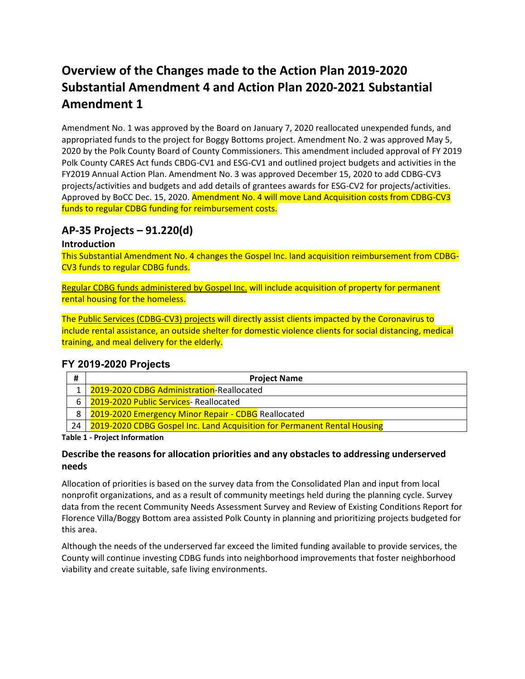# **Overview of the Changes made to the Action Plan 2019-2020 Substantial Amendment 4 and Action Plan 2020-2021 Substantial Amendment 1**

Amendment No. 1 was approved by the Board on January 7, 2020 reallocated unexpended funds, and appropriated funds to the project for Boggy Bottoms project. Amendment No. 2 was approved May 5, 2020 by the Polk County Board of County Commissioners. This amendment included approval of FY 2019 Polk County CARES Act funds CBDG-CV1 and ESG-CV1 and outlined project budgets and activities in the FY2019 Annual Action Plan. Amendment No. 3 was approved December 15, 2020 to add CDBG-CV3 projects/activities and budgets and add details of grantees awards for ESG-CV2 for projects/activities. Approved by BoCC Dec. 15, 2020. Amendment No. 4 will move Land Acquisition costs from CDBG-CV3 funds to regular CDBG funding for reimbursement costs.

# **AP-35 Projects – 91.220(d)**

### **Introduction**

This Substantial Amendment No. 4 changes the Gospel Inc. land acquisition reimbursement from CDBG-CV3 funds to regular CDBG funds.

Regular CDBG funds administered by Gospel Inc. will include acquisition of property for permanent rental housing for the homeless.

The Public Services (CDBG-CV3) projects will directly assist clients impacted by the Coronavirus to include rental assistance, an outside shelter for domestic violence clients for social distancing, medical training, and meal delivery for the elderly.

### **FY 2019-2020 Projects**

| #  | <b>Project Name</b>                                                      |
|----|--------------------------------------------------------------------------|
|    | 1 2019-2020 CDBG Administration-Reallocated                              |
|    | 6 2019-2020 Public Services- Reallocated                                 |
|    | 8 2019-2020 Emergency Minor Repair - CDBG Reallocated                    |
| 24 | 2019-2020 CDBG Gospel Inc. Land Acquisition for Permanent Rental Housing |

**Table 1 - Project Information**

### **Describe the reasons for allocation priorities and any obstacles to addressing underserved needs**

Allocation of priorities is based on the survey data from the Consolidated Plan and input from local nonprofit organizations, and as a result of community meetings held during the planning cycle. Survey data from the recent Community Needs Assessment Survey and Review of Existing Conditions Report for Florence Villa/Boggy Bottom area assisted Polk County in planning and prioritizing projects budgeted for this area.

Although the needs of the underserved far exceed the limited funding available to provide services, the County will continue investing CDBG funds into neighborhood improvements that foster neighborhood viability and create suitable, safe living environments.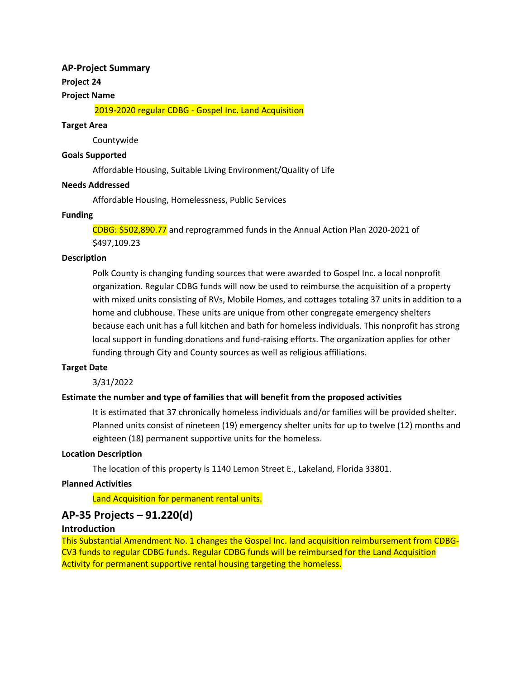### **AP-Project Summary**

### **Project 24**

### **Project Name**

2019-2020 regular CDBG - Gospel Inc. Land Acquisition

### **Target Area**

Countywide

### **Goals Supported**

Affordable Housing, Suitable Living Environment/Quality of Life

### **Needs Addressed**

Affordable Housing, Homelessness, Public Services

### **Funding**

CDBG: \$502,890.77 and reprogrammed funds in the Annual Action Plan 2020-2021 of \$497,109.23

### **Description**

Polk County is changing funding sources that were awarded to Gospel Inc. a local nonprofit organization. Regular CDBG funds will now be used to reimburse the acquisition of a property with mixed units consisting of RVs, Mobile Homes, and cottages totaling 37 units in addition to a home and clubhouse. These units are unique from other congregate emergency shelters because each unit has a full kitchen and bath for homeless individuals. This nonprofit has strong local support in funding donations and fund-raising efforts. The organization applies for other funding through City and County sources as well as religious affiliations.

### **Target Date**

3/31/2022

### **Estimate the number and type of families that will benefit from the proposed activities**

It is estimated that 37 chronically homeless individuals and/or families will be provided shelter. Planned units consist of nineteen (19) emergency shelter units for up to twelve (12) months and eighteen (18) permanent supportive units for the homeless.

### **Location Description**

The location of this property is 1140 Lemon Street E., Lakeland, Florida 33801.

### **Planned Activities**

Land Acquisition for permanent rental units.

### **AP-35 Projects – 91.220(d)**

### **Introduction**

This Substantial Amendment No. 1 changes the Gospel Inc. land acquisition reimbursement from CDBG-CV3 funds to regular CDBG funds. Regular CDBG funds will be reimbursed for the Land Acquisition Activity for permanent supportive rental housing targeting the homeless.